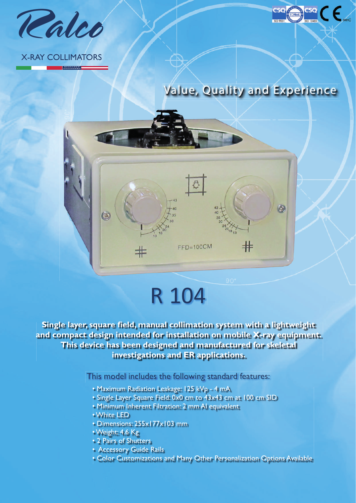

### X-RAY COLLIMATORS

**MANAWAT** 



**CSO** 

# $\circ$  $_{\rm +}$  $FFD=100CM$

### R 104

**Single layer, square field, manual collimation system with a lightweight and compact design intended for installation on mobile X-ray equipment. This device has been designed and manufactured for skeletal investigations and ER applications.**

This model includes the following standard features:

- Maximum Radiation Leakage: 125 kVp 4 mA
- Single Layer Square Field: 0x0 cm to 43x43 cm at 100 cm SID
- Minimum Inherent Filtration: 2 mm Al equivalent
- White LED
- Dimensions: 255x177x103 mm
- Weight: 4.6 Kg
- 2 Pairs of Shutters
- Accessory Guide Rails
- Color Customizations and Many Other Personalization Options Available